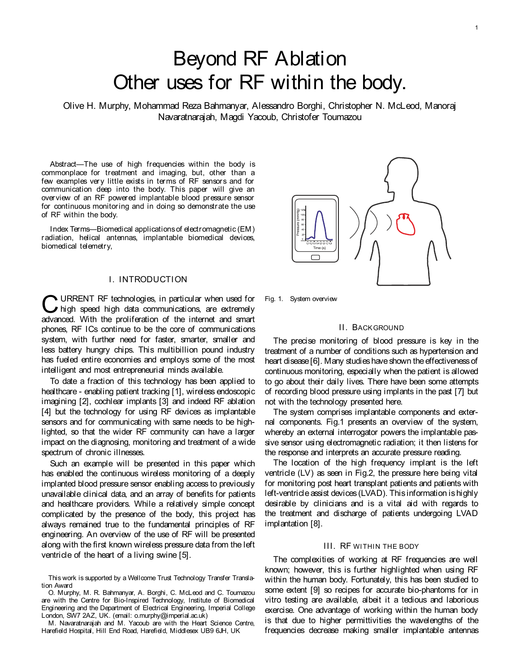# Beyond RF Ablation Other uses for RF within the body.

Olive H. Murphy, Mohammad Reza Bahmanyar, Alessandro Borghi, Christopher N. McLeod, Manoraj Navaratnarajah, Magdi Yacoub, Christofer Toumazou

Abstract-The use of high frequencies within the body is commonplace for treatment and imaging, but, other than a few examples very little exists in terms of RF sensors and for communication deep into the body. This paper will give an overview of an RF powered implantable blood pressure sensor for continuous monitoring and in doing so demonstrate the use of RF within the body.

Index Terms—Biomedical applications of electromagnetic (EM) radiation, helical antennas, implantable biomedical devices, biomedical telemetry,

# I. INTRODUCTION

**C** URRENT RF technologies, in particular when used for high speed high data communications, are extremely advanced. With the proliferation of the internet and smart URRENT RF technologies, in particular when used for high speed high data communications, are extremely phones, RF ICs continue to be the core of communications system, with further need for faster, smarter, smaller and less battery hungry chips. This multibillion pound industry has fueled entire economies and employs some of the most intelligent and most entrepreneurial minds available.

To date a fraction of this technology has been applied to healthcare - enabling patient tracking [1], wireless endoscopic imagining [2], cochlear implants [3] and indeed RF ablation [4] but the technology for using RF devices as implantable sensors and for communicating with same needs to be highlighted, so that the wider RF community can have a larger impact on the diagnosing, monitoring and treatment of a wide spectrum of chronic illnesses.

Such an example will be presented in this paper which has enabled the continuous wireless monitoring of a deeply implanted blood pressure sensor enabling access to previously unavailable clinical data, and an array of benefits for patients and healthcare providers. While a relatively simple concept complicated by the presence of the body, this project has always remained true to the fundamental principles of RF engineering. An overview of the use of RF will be presented along with the first known wireless pressure data from the left ventricle of the heart of a living swine [5].

Fig. 1. System overview

## II. BACKGROUND

The precise monitoring of blood pressure is key in the treatment of a number of conditions such as hypertension and heart disease [6]. Many studies have shown the effectiveness of continuous monitoring, especially when the patient is allowed to go about their daily lives. There have been some attempts of recording blood pressure using implants in the past [7] but not with the technology presented here.

The system comprises implantable components and external components. Fig.1 presents an overview of the system, whereby an external interrogator powers the implantable passive sensor using electromagnetic radiation; it then listens for the response and interprets an accurate pressure reading.

The location of the high frequency implant is the left ventricle (LV) as seen in Fig.2, the pressure here being vital for monitoring post heart transplant patients and patients with left-ventricle assist devices (LVAD). This information is highly desirable by clinicians and is a vital aid with regards to the treatment and discharge of patients undergoing LVAD implantation [8].

#### III. RF WITHIN THE BODY

The complexities of working at RF frequencies are well known; however, this is further highlighted when using RF within the human body. Fortunately, this has been studied to some extent [9] so recipes for accurate bio-phantoms for in vitro testing are available, albeit it a tedious and laborious exercise. One advantage of working within the human body is that due to higher permittivities the wavelengths of the frequencies decrease making smaller implantable antennas



This work is supported by a Wellcome Trust Technology Transfer Translation Award

O. Murphy, M. R. Bahmanyar, A. Borghi, C. McLeod and C. Toumazou are with the Centre for Bio-Inspired Technology, Institute of Biomedical Engineering and the Department of Electrical Engineering, Imperial College London, SW7 2AZ, UK. (email: o.murphy@imperial.ac.uk)

M. Navaratnarajah and M. Yacoub are with the Heart Science Centre, Harefield Hospital, Hill End Road, Harefield, Middlesex UB9 6JH, UK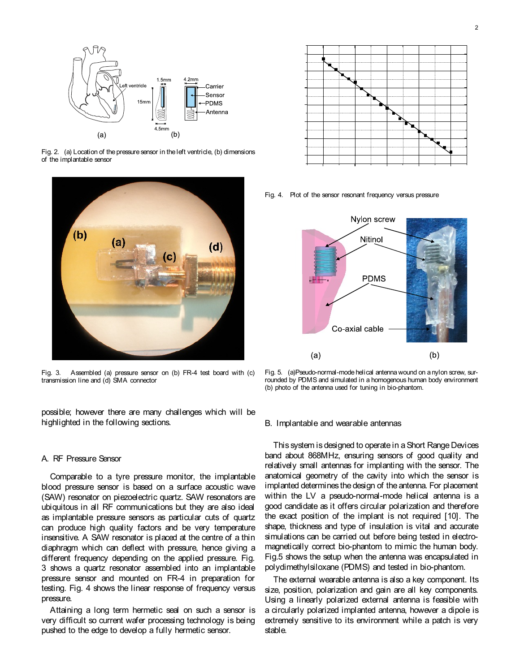

Fig. 2. (a) Location of the pressure sensor in the left ventricle, (b) dimensions of the implantable sensor



Fig. 3. Assembled (a) pressure sensor on (b) FR-4 test board with (c) transmission line and (d) SMA connector

possible; however there are many challenges which will be highlighted in the following sections.

#### A. RF Pressure Sensor

Comparable to a tyre pressure monitor, the implantable blood pressure sensor is based on a surface acoustic wave (SAW) resonator on piezoelectric quartz. SAW resonators are ubiquitous in all RF communications but they are also ideal as implantable pressure sensors as particular cuts of quartz can produce high quality factors and be very temperature insensitive. A SAW resonator is placed at the centre of a thin diaphragm which can deflect with pressure, hence giving a different frequency depending on the applied pressure. Fig. 3 shows a quartz resonator assembled into an implantable pressure sensor and mounted on FR-4 in preparation for testing. Fig. 4 shows the linear response of frequency versus pressure.

Attaining a long term hermetic seal on such a sensor is very difficult so current wafer processing technology is being pushed to the edge to develop a fully hermetic sensor.



Fig. 4. Plot of the sensor resonant frequency versus pressure



Fig. 5. (a)Pseudo-normal-mode helical antenna wound on a nylon screw, surrounded by PDMS and simulated in a homogenous human body environment (b) photo of the antenna used for tuning in bio-phantom.

#### B. Implantable and wearable antennas

This system is designed to operate in a Short Range Devices band about 868MHz, ensuring sensors of good quality and relatively small antennas for implanting with the sensor. The anatomical geometry of the cavity into which the sensor is implanted determines the design of the antenna. For placement within the LV a pseudo-normal-mode helical antenna is a good candidate as it offers circular polarization and therefore the exact position of the implant is not required [10]. The shape, thickness and type of insulation is vital and accurate simulations can be carried out before being tested in electromagnetically correct bio-phantom to mimic the human body. Fig.5 shows the setup when the antenna was encapsulated in polydimethylsiloxane (PDMS) and tested in bio-phantom.

The external wearable antenna is also a key component. Its size, position, polarization and gain are all key components. Using a linearly polarized external antenna is feasible with a circularly polarized implanted antenna, however a dipole is extremely sensitive to its environment while a patch is very stable.